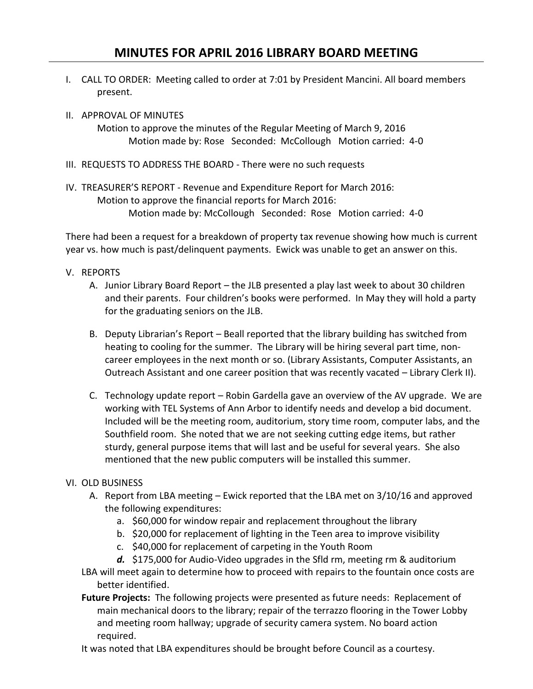## **MINUTES FOR APRIL 2016 LIBRARY BOARD MEETING**

- I. CALL TO ORDER: Meeting called to order at 7:01 by President Mancini. All board members present.
- II. APPROVAL OF MINUTES

Motion to approve the minutes of the Regular Meeting of March 9, 2016 Motion made by: Rose Seconded: McCollough Motion carried: 4-0

- III. REQUESTS TO ADDRESS THE BOARD There were no such requests
- IV. TREASURER'S REPORT Revenue and Expenditure Report for March 2016: Motion to approve the financial reports for March 2016: Motion made by: McCollough Seconded: Rose Motion carried: 4-0

There had been a request for a breakdown of property tax revenue showing how much is current year vs. how much is past/delinquent payments. Ewick was unable to get an answer on this.

- V. REPORTS
	- A. Junior Library Board Report the JLB presented a play last week to about 30 children and their parents. Four children's books were performed. In May they will hold a party for the graduating seniors on the JLB.
	- B. Deputy Librarian's Report Beall reported that the library building has switched from heating to cooling for the summer. The Library will be hiring several part time, noncareer employees in the next month or so. (Library Assistants, Computer Assistants, an Outreach Assistant and one career position that was recently vacated – Library Clerk II).
	- C. Technology update report Robin Gardella gave an overview of the AV upgrade. We are working with TEL Systems of Ann Arbor to identify needs and develop a bid document. Included will be the meeting room, auditorium, story time room, computer labs, and the Southfield room. She noted that we are not seeking cutting edge items, but rather sturdy, general purpose items that will last and be useful for several years. She also mentioned that the new public computers will be installed this summer.

## VI. OLD BUSINESS

- A. Report from LBA meeting Ewick reported that the LBA met on 3/10/16 and approved the following expenditures:
	- a. \$60,000 for window repair and replacement throughout the library
	- b. \$20,000 for replacement of lighting in the Teen area to improve visibility
	- c. \$40,000 for replacement of carpeting in the Youth Room
- *d.* \$175,000 for Audio-Video upgrades in the Sfld rm, meeting rm & auditorium LBA will meet again to determine how to proceed with repairs to the fountain once costs are better identified.
- **Future Projects:** The following projects were presented as future needs: Replacement of main mechanical doors to the library; repair of the terrazzo flooring in the Tower Lobby and meeting room hallway; upgrade of security camera system. No board action required.

It was noted that LBA expenditures should be brought before Council as a courtesy.